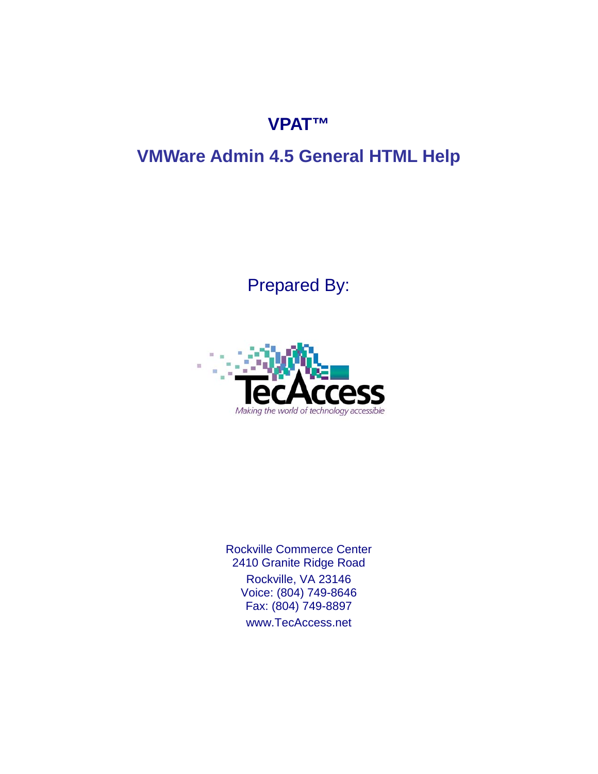## **VPAT™**

# **VMWare Admin 4.5 General HTML Help**

Prepared By:



Rockville Commerce Center 2410 Granite Ridge Road Rockville, VA 23146 Voice: (804) 749-8646 Fax: (804) 749-8897 [www.TecAccess.net](http://www.tecaccess.net)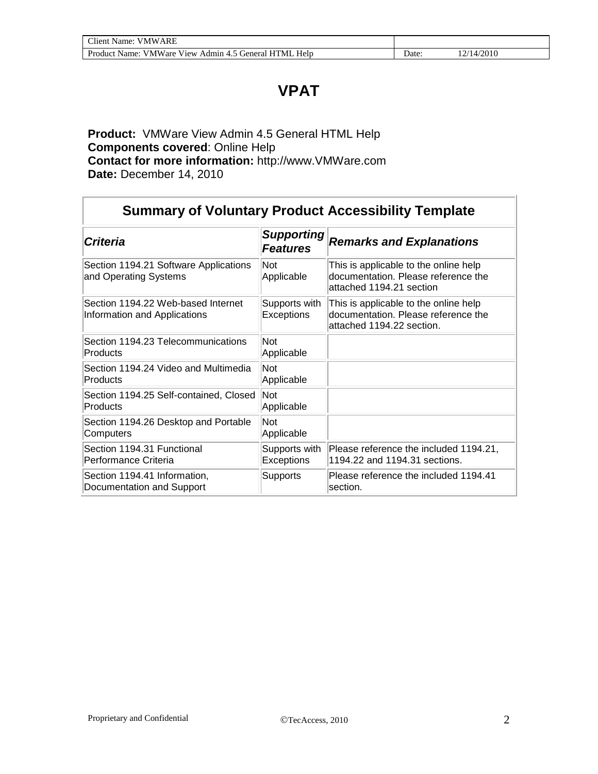### **VPAT**

**Product:** VMWare View Admin 4.5 General HTML Help **Components covered**: Online Help **Contact for more information:** [http://www.VMWare.com](http://www.vmware.com) **Date:** December 14, 2010

| <b>Summary of Voluntary Product Accessibility Template</b>         |                                      |                                                                                                           |  |
|--------------------------------------------------------------------|--------------------------------------|-----------------------------------------------------------------------------------------------------------|--|
| <b>Criteria</b>                                                    | <b>Supporting</b><br><b>Features</b> | <b>Remarks and Explanations</b>                                                                           |  |
| Section 1194.21 Software Applications<br>and Operating Systems     | Not<br>Applicable                    | This is applicable to the online help<br>documentation. Please reference the<br>attached 1194.21 section  |  |
| Section 1194.22 Web-based Internet<br>Information and Applications | Supports with<br>Exceptions          | This is applicable to the online help<br>documentation. Please reference the<br>attached 1194.22 section. |  |
| Section 1194.23 Telecommunications<br>Products                     | Not<br>Applicable                    |                                                                                                           |  |
| Section 1194.24 Video and Multimedia<br>Products                   | Not<br>Applicable                    |                                                                                                           |  |
| Section 1194.25 Self-contained, Closed<br>Products                 | Not<br>Applicable                    |                                                                                                           |  |
| Section 1194.26 Desktop and Portable<br>Computers                  | Not<br>Applicable                    |                                                                                                           |  |
| Section 1194.31 Functional<br>Performance Criteria                 | Supports with<br><b>Exceptions</b>   | Please reference the included 1194.21,<br>1194.22 and 1194.31 sections.                                   |  |
| Section 1194.41 Information,<br>Documentation and Support          | <b>Supports</b>                      | Please reference the included 1194.41<br>section.                                                         |  |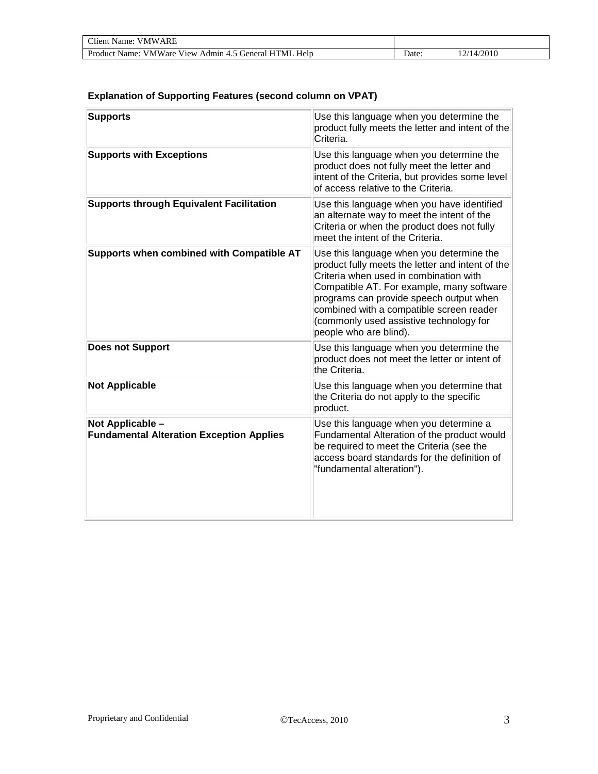| <b>Client Name: VMWARE</b>                            |       |            |  |
|-------------------------------------------------------|-------|------------|--|
| Product Name: VMWare View Admin 4.5 General HTML Help | Date: | 12/14/2010 |  |

#### **Explanation of Supporting Features (second column on VPAT)**

| <b>Supports</b>                                                     | Use this language when you determine the<br>product fully meets the letter and intent of the<br>Criteria.                                                                                                                                                                                                                                       |
|---------------------------------------------------------------------|-------------------------------------------------------------------------------------------------------------------------------------------------------------------------------------------------------------------------------------------------------------------------------------------------------------------------------------------------|
| <b>Supports with Exceptions</b>                                     | Use this language when you determine the<br>product does not fully meet the letter and<br>intent of the Criteria, but provides some level<br>of access relative to the Criteria.                                                                                                                                                                |
| <b>Supports through Equivalent Facilitation</b>                     | Use this language when you have identified<br>an alternate way to meet the intent of the<br>Criteria or when the product does not fully<br>meet the intent of the Criteria.                                                                                                                                                                     |
| Supports when combined with Compatible AT                           | Use this language when you determine the<br>product fully meets the letter and intent of the<br>Criteria when used in combination with<br>Compatible AT. For example, many software<br>programs can provide speech output when<br>combined with a compatible screen reader<br>(commonly used assistive technology for<br>people who are blind). |
| <b>Does not Support</b>                                             | Use this language when you determine the<br>product does not meet the letter or intent of<br>the Criteria.                                                                                                                                                                                                                                      |
| <b>Not Applicable</b>                                               | Use this language when you determine that<br>the Criteria do not apply to the specific<br>product.                                                                                                                                                                                                                                              |
| Not Applicable -<br><b>Fundamental Alteration Exception Applies</b> | Use this language when you determine a<br>Fundamental Alteration of the product would<br>be required to meet the Criteria (see the<br>access board standards for the definition of<br>"fundamental alteration").                                                                                                                                |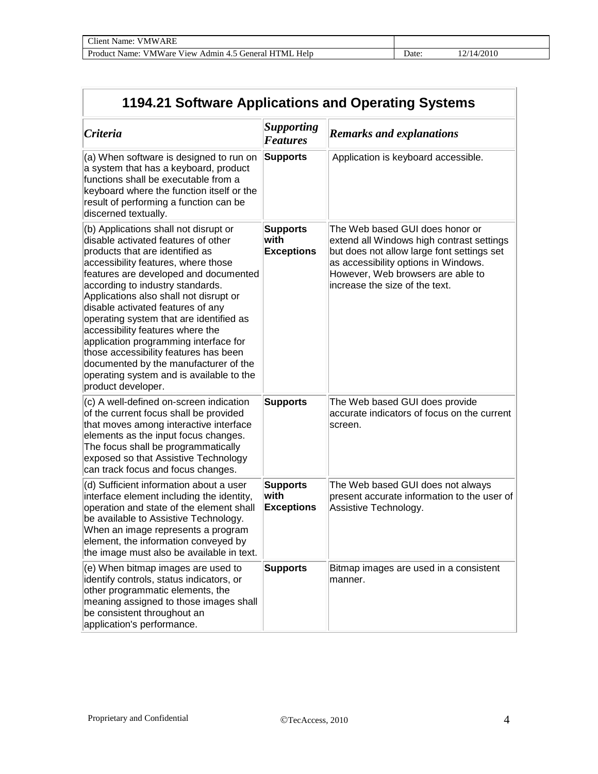| 1194.21 Software Applications and Operating Systems                                                                                                                                                                                                                                                                                                                                                                                                                                                                                                                                            |                                              |                                                                                                                                                                                                                                           |  |  |
|------------------------------------------------------------------------------------------------------------------------------------------------------------------------------------------------------------------------------------------------------------------------------------------------------------------------------------------------------------------------------------------------------------------------------------------------------------------------------------------------------------------------------------------------------------------------------------------------|----------------------------------------------|-------------------------------------------------------------------------------------------------------------------------------------------------------------------------------------------------------------------------------------------|--|--|
| Criteria                                                                                                                                                                                                                                                                                                                                                                                                                                                                                                                                                                                       | <b>Supporting</b><br><b>Features</b>         | <b>Remarks and explanations</b>                                                                                                                                                                                                           |  |  |
| (a) When software is designed to run on<br>a system that has a keyboard, product<br>functions shall be executable from a<br>keyboard where the function itself or the<br>result of performing a function can be<br>discerned textually.                                                                                                                                                                                                                                                                                                                                                        | <b>Supports</b>                              | Application is keyboard accessible.                                                                                                                                                                                                       |  |  |
| (b) Applications shall not disrupt or<br>disable activated features of other<br>products that are identified as<br>accessibility features, where those<br>features are developed and documented<br>according to industry standards.<br>Applications also shall not disrupt or<br>disable activated features of any<br>operating system that are identified as<br>accessibility features where the<br>application programming interface for<br>those accessibility features has been<br>documented by the manufacturer of the<br>operating system and is available to the<br>product developer. | <b>Supports</b><br>with<br><b>Exceptions</b> | The Web based GUI does honor or<br>extend all Windows high contrast settings<br>but does not allow large font settings set<br>as accessibility options in Windows.<br>However, Web browsers are able to<br>increase the size of the text. |  |  |
| (c) A well-defined on-screen indication<br>of the current focus shall be provided<br>that moves among interactive interface<br>elements as the input focus changes.<br>The focus shall be programmatically<br>exposed so that Assistive Technology<br>can track focus and focus changes.                                                                                                                                                                                                                                                                                                       | <b>Supports</b>                              | The Web based GUI does provide<br>accurate indicators of focus on the current<br>screen.                                                                                                                                                  |  |  |
| (d) Sufficient information about a user<br>interface element including the identity,<br>operation and state of the element shall<br>be available to Assistive Technology.<br>When an image represents a program<br>element, the information conveyed by<br>the image must also be available in text.                                                                                                                                                                                                                                                                                           | <b>Supports</b><br>with<br><b>Exceptions</b> | The Web based GUI does not always<br>present accurate information to the user of<br>Assistive Technology.                                                                                                                                 |  |  |
| (e) When bitmap images are used to<br>identify controls, status indicators, or<br>other programmatic elements, the<br>meaning assigned to those images shall<br>be consistent throughout an<br>application's performance.                                                                                                                                                                                                                                                                                                                                                                      | <b>Supports</b>                              | Bitmap images are used in a consistent<br>manner.                                                                                                                                                                                         |  |  |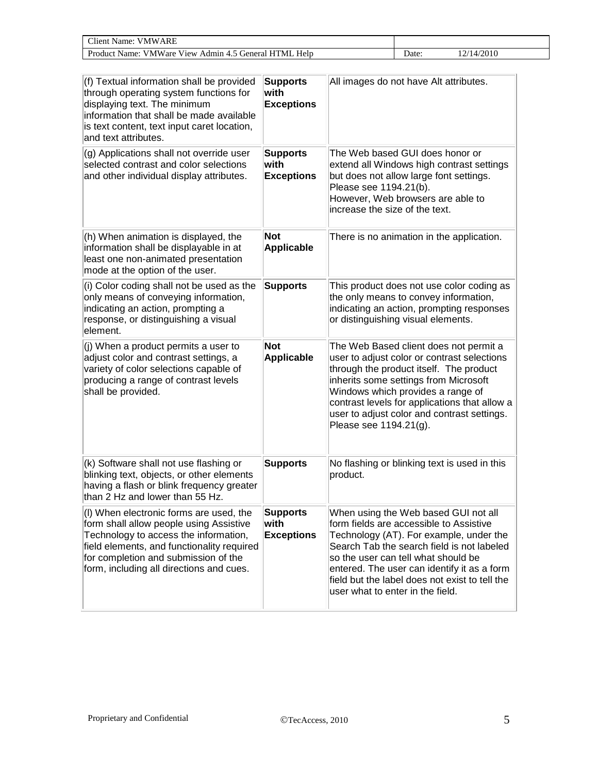| $\cap$ lient.<br>VMWARE<br>Name:                                                |       |       |
|---------------------------------------------------------------------------------|-------|-------|
| Product<br>Admin 4.5 General<br><b>VMWare</b><br>View.<br>HTML<br>Help<br>Name: | ⊅ate∙ | /2010 |

| (f) Textual information shall be provided<br>through operating system functions for<br>displaying text. The minimum<br>information that shall be made available<br>is text content, text input caret location,<br>and text attributes.                        | <b>Supports</b><br>with<br><b>Exceptions</b> | All images do not have Alt attributes.                                                                                                                                                                                                                                                                                                               |
|---------------------------------------------------------------------------------------------------------------------------------------------------------------------------------------------------------------------------------------------------------------|----------------------------------------------|------------------------------------------------------------------------------------------------------------------------------------------------------------------------------------------------------------------------------------------------------------------------------------------------------------------------------------------------------|
| (g) Applications shall not override user<br>selected contrast and color selections<br>and other individual display attributes.                                                                                                                                | <b>Supports</b><br>with<br><b>Exceptions</b> | The Web based GUI does honor or<br>extend all Windows high contrast settings<br>but does not allow large font settings.<br>Please see 1194.21(b).<br>However, Web browsers are able to<br>increase the size of the text.                                                                                                                             |
| (h) When animation is displayed, the<br>information shall be displayable in at<br>least one non-animated presentation<br>mode at the option of the user.                                                                                                      | <b>Not</b><br>Applicable                     | There is no animation in the application.                                                                                                                                                                                                                                                                                                            |
| (i) Color coding shall not be used as the<br>only means of conveying information,<br>indicating an action, prompting a<br>response, or distinguishing a visual<br>element.                                                                                    | <b>Supports</b>                              | This product does not use color coding as<br>the only means to convey information,<br>indicating an action, prompting responses<br>or distinguishing visual elements.                                                                                                                                                                                |
| (j) When a product permits a user to<br>adjust color and contrast settings, a<br>variety of color selections capable of<br>producing a range of contrast levels<br>shall be provided.                                                                         | <b>Not</b><br><b>Applicable</b>              | The Web Based client does not permit a<br>user to adjust color or contrast selections<br>through the product itself. The product<br>inherits some settings from Microsoft<br>Windows which provides a range of<br>contrast levels for applications that allow a<br>user to adjust color and contrast settings.<br>Please see 1194.21(g).             |
| (k) Software shall not use flashing or<br>blinking text, objects, or other elements<br>having a flash or blink frequency greater<br>than 2 Hz and lower than 55 Hz.                                                                                           | <b>Supports</b>                              | No flashing or blinking text is used in this<br>product.                                                                                                                                                                                                                                                                                             |
| (I) When electronic forms are used, the<br>form shall allow people using Assistive<br>Technology to access the information,<br>field elements, and functionality required<br>for completion and submission of the<br>form, including all directions and cues. | <b>Supports</b><br>with<br><b>Exceptions</b> | When using the Web based GUI not all<br>form fields are accessible to Assistive<br>Technology (AT). For example, under the<br>Search Tab the search field is not labeled<br>so the user can tell what should be<br>entered. The user can identify it as a form<br>field but the label does not exist to tell the<br>user what to enter in the field. |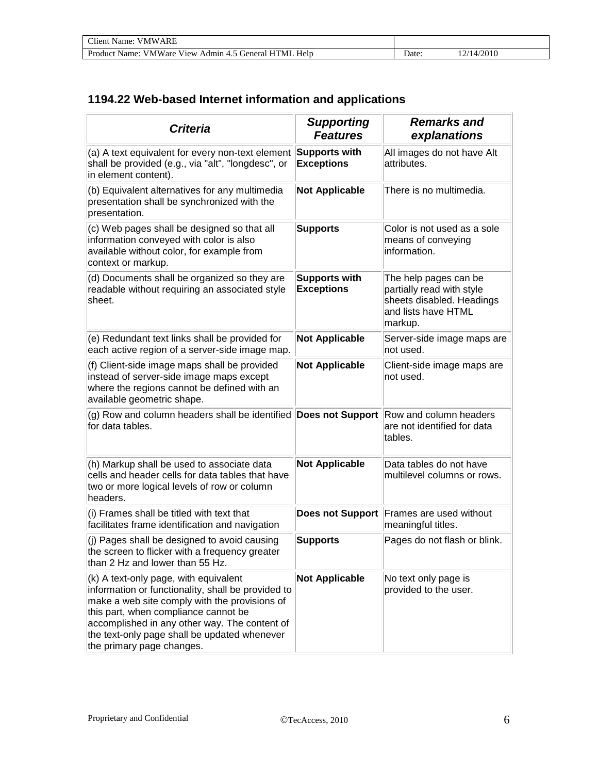| Client.<br>VMWARE<br>Name:                                           |      |                     |
|----------------------------------------------------------------------|------|---------------------|
| Product Name: VMWare View Admin 4.5 General "<br>Help<br><b>HTMI</b> | Jate | /2010<br>$\sqrt{1}$ |

### **1194.22 Web-based Internet information and applications**

| <b>Criteria</b>                                                                                                                                                                                                                                                                                                    | <b>Supporting</b><br><b>Features</b>      | <b>Remarks and</b><br>explanations                                                                                |
|--------------------------------------------------------------------------------------------------------------------------------------------------------------------------------------------------------------------------------------------------------------------------------------------------------------------|-------------------------------------------|-------------------------------------------------------------------------------------------------------------------|
| (a) A text equivalent for every non-text element<br>shall be provided (e.g., via "alt", "longdesc", or<br>in element content).                                                                                                                                                                                     | Supports with<br><b>Exceptions</b>        | All images do not have Alt<br>attributes.                                                                         |
| (b) Equivalent alternatives for any multimedia<br>presentation shall be synchronized with the<br>presentation.                                                                                                                                                                                                     | <b>Not Applicable</b>                     | There is no multimedia.                                                                                           |
| (c) Web pages shall be designed so that all<br>information conveyed with color is also<br>available without color, for example from<br>context or markup.                                                                                                                                                          | <b>Supports</b>                           | Color is not used as a sole<br>means of conveying<br>information.                                                 |
| (d) Documents shall be organized so they are<br>readable without requiring an associated style<br>sheet.                                                                                                                                                                                                           | <b>Supports with</b><br><b>Exceptions</b> | The help pages can be<br>partially read with style<br>sheets disabled. Headings<br>and lists have HTML<br>markup. |
| (e) Redundant text links shall be provided for<br>each active region of a server-side image map.                                                                                                                                                                                                                   | <b>Not Applicable</b>                     | Server-side image maps are<br>not used.                                                                           |
| (f) Client-side image maps shall be provided<br>instead of server-side image maps except<br>where the regions cannot be defined with an<br>available geometric shape.                                                                                                                                              | <b>Not Applicable</b>                     | Client-side image maps are<br>not used.                                                                           |
| (g) Row and column headers shall be identified <b>Does not Support</b> Row and column headers<br>for data tables.                                                                                                                                                                                                  |                                           | are not identified for data<br>tables.                                                                            |
| (h) Markup shall be used to associate data<br>cells and header cells for data tables that have<br>two or more logical levels of row or column<br>headers.                                                                                                                                                          | <b>Not Applicable</b>                     | Data tables do not have<br>multilevel columns or rows.                                                            |
| (i) Frames shall be titled with text that<br>facilitates frame identification and navigation                                                                                                                                                                                                                       | <b>Does not Support</b>                   | Frames are used without<br>meaningful titles.                                                                     |
| (i) Pages shall be designed to avoid causing<br>the screen to flicker with a frequency greater<br>than 2 Hz and lower than 55 Hz.                                                                                                                                                                                  | <b>Supports</b>                           | Pages do not flash or blink.                                                                                      |
| (k) A text-only page, with equivalent<br>information or functionality, shall be provided to<br>make a web site comply with the provisions of<br>this part, when compliance cannot be<br>accomplished in any other way. The content of<br>the text-only page shall be updated whenever<br>the primary page changes. | <b>Not Applicable</b>                     | No text only page is<br>provided to the user.                                                                     |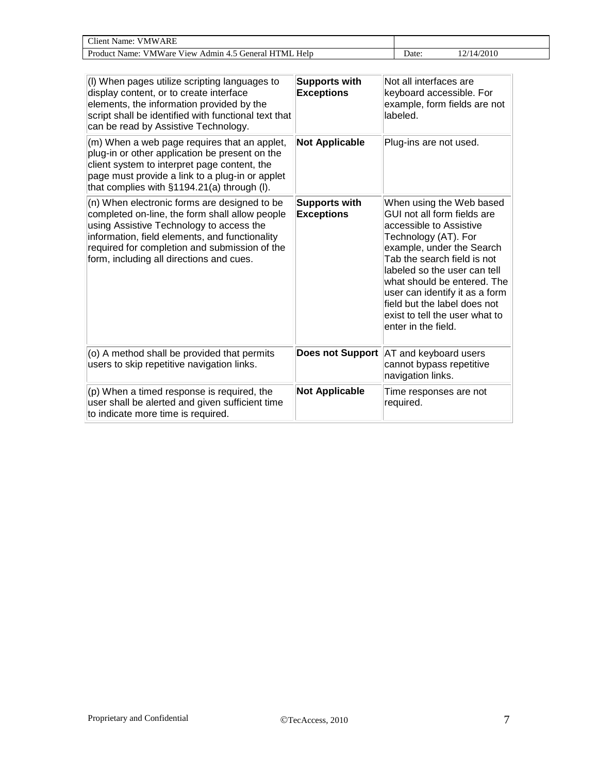| $\Gamma$ lient $\Gamma$ .<br><b>VMWARE</b><br>Name:                                       |       |                       |
|-------------------------------------------------------------------------------------------|-------|-----------------------|
| $- - -$<br>Help<br>Product<br>VMWare View<br><b>HTML</b><br>Admin 4.<br>Cieneral<br>Name: | Date: | /2010<br>$\mathbf{L}$ |

| (I) When pages utilize scripting languages to<br>display content, or to create interface<br>elements, the information provided by the<br>script shall be identified with functional text that<br>can be read by Assistive Technology.                                                     | <b>Supports with</b><br><b>Exceptions</b> | Not all interfaces are<br>keyboard accessible. For<br>example, form fields are not<br>labeled.                                                                                                                                                                                                                                                                   |
|-------------------------------------------------------------------------------------------------------------------------------------------------------------------------------------------------------------------------------------------------------------------------------------------|-------------------------------------------|------------------------------------------------------------------------------------------------------------------------------------------------------------------------------------------------------------------------------------------------------------------------------------------------------------------------------------------------------------------|
| (m) When a web page requires that an applet,<br>plug-in or other application be present on the<br>client system to interpret page content, the<br>page must provide a link to a plug-in or applet<br>that complies with §1194.21(a) through (I).                                          | <b>Not Applicable</b>                     | Plug-ins are not used.                                                                                                                                                                                                                                                                                                                                           |
| (n) When electronic forms are designed to be<br>completed on-line, the form shall allow people<br>using Assistive Technology to access the<br>information, field elements, and functionality<br>required for completion and submission of the<br>form, including all directions and cues. | <b>Supports with</b><br><b>Exceptions</b> | When using the Web based<br>GUI not all form fields are<br>accessible to Assistive<br>Technology (AT). For<br>example, under the Search<br>Tab the search field is not<br>labeled so the user can tell<br>what should be entered. The<br>user can identify it as a form<br>field but the label does not<br>exist to tell the user what to<br>enter in the field. |
| (o) A method shall be provided that permits<br>users to skip repetitive navigation links.                                                                                                                                                                                                 | <b>Does not Support</b>                   | AT and keyboard users<br>cannot bypass repetitive<br>navigation links.                                                                                                                                                                                                                                                                                           |
| (p) When a timed response is required, the<br>user shall be alerted and given sufficient time<br>to indicate more time is required.                                                                                                                                                       | <b>Not Applicable</b>                     | Time responses are not<br>required.                                                                                                                                                                                                                                                                                                                              |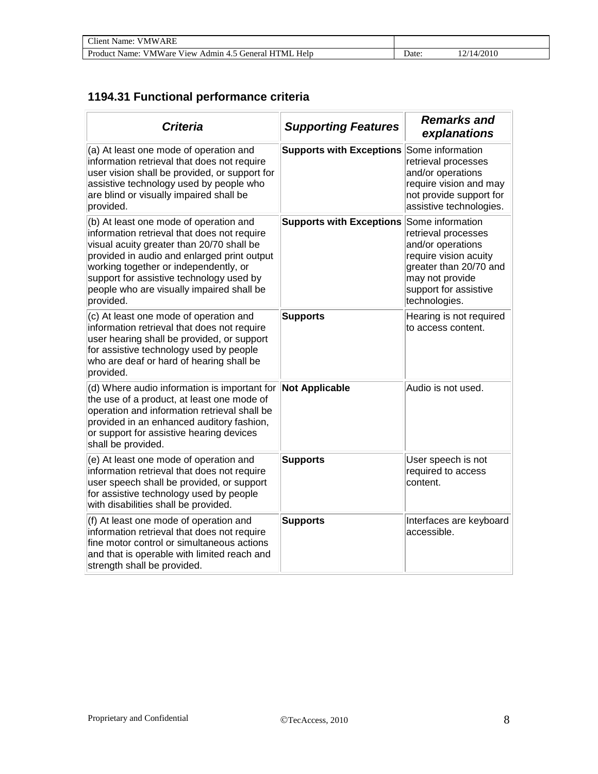| <b>Client Name: VMWARE</b>                            |       |           |  |
|-------------------------------------------------------|-------|-----------|--|
| Product Name: VMWare View Admin 4.5 General HTML Help | Jate: | 2/14/2010 |  |

### **1194.31 Functional performance criteria**

| <b>Criteria</b>                                                                                                                                                                                                                                                                                                                  | <b>Supporting Features</b>                       | <b>Remarks and</b><br>explanations                                                                                                                       |
|----------------------------------------------------------------------------------------------------------------------------------------------------------------------------------------------------------------------------------------------------------------------------------------------------------------------------------|--------------------------------------------------|----------------------------------------------------------------------------------------------------------------------------------------------------------|
| (a) At least one mode of operation and<br>information retrieval that does not require<br>user vision shall be provided, or support for<br>assistive technology used by people who<br>are blind or visually impaired shall be<br>provided.                                                                                        | <b>Supports with Exceptions</b>                  | Some information<br>retrieval processes<br>and/or operations<br>require vision and may<br>not provide support for<br>assistive technologies.             |
| (b) At least one mode of operation and<br>information retrieval that does not require<br>visual acuity greater than 20/70 shall be<br>provided in audio and enlarged print output<br>working together or independently, or<br>support for assistive technology used by<br>people who are visually impaired shall be<br>provided. | <b>Supports with Exceptions Some information</b> | retrieval processes<br>and/or operations<br>require vision acuity<br>greater than 20/70 and<br>may not provide<br>support for assistive<br>technologies. |
| (c) At least one mode of operation and<br>information retrieval that does not require<br>user hearing shall be provided, or support<br>for assistive technology used by people<br>who are deaf or hard of hearing shall be<br>provided.                                                                                          | <b>Supports</b>                                  | Hearing is not required<br>to access content.                                                                                                            |
| (d) Where audio information is important for Not Applicable<br>the use of a product, at least one mode of<br>operation and information retrieval shall be<br>provided in an enhanced auditory fashion,<br>or support for assistive hearing devices<br>shall be provided.                                                         |                                                  | Audio is not used.                                                                                                                                       |
| (e) At least one mode of operation and<br>information retrieval that does not require<br>user speech shall be provided, or support<br>for assistive technology used by people<br>with disabilities shall be provided.                                                                                                            | <b>Supports</b>                                  | User speech is not<br>required to access<br>content.                                                                                                     |
| (f) At least one mode of operation and<br>information retrieval that does not require<br>fine motor control or simultaneous actions<br>and that is operable with limited reach and<br>strength shall be provided.                                                                                                                | <b>Supports</b>                                  | Interfaces are keyboard<br>accessible.                                                                                                                   |